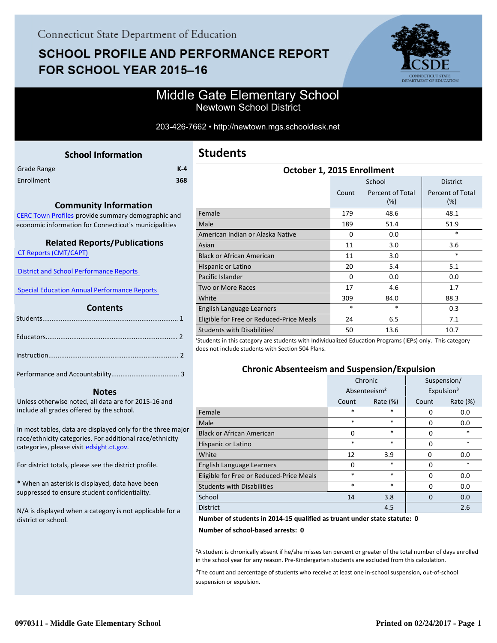# **SCHOOL PROFILE AND PERFORMANCE REPORT** FOR SCHOOL YEAR 2015-16



## Middle Gate Elementary School Newtown School District

#### 203-426-7662 • http://newtown.mgs.schooldesk.net

<span id="page-0-0"></span>

|             | <b>School Information</b> |       |  |
|-------------|---------------------------|-------|--|
| Grade Range |                           | $K-4$ |  |

| <b>PRODUCTION</b> | . . |
|-------------------|-----|
| Enrollment        | 368 |

#### **Community Information**

[CERC Town Profiles provide summary demographic and](http://www.cerc.com/townprofiles/) economic information for Connecticut's municipalities

#### **Related Reports/Publications**

 [CT Reports \(CMT/CAPT\)](http://ctreports.com/) 

 [District and School Performance Reports](http://www.csde.state.ct.us/public/performancereports/reports.asp) 

 [Special Education Annual Performance Reports](http://edsight.ct.gov/SASPortal/main.do) 

#### **Contents**

Performance and Accountability..................................... 3 .

#### **Notes**

Unless otherwise noted, all data are for 2015-16 and include all grades offered by the school.

[In most tables, data are displayed only for the three major](http://edsight.ct.gov/) race/ethnicity categories. For additional race/ethnicity categories, please visit edsight.ct.gov.

For district totals, please see the district profile.

\* When an asterisk is displayed, data have been suppressed to ensure student confidentiality.

N/A is displayed when a category is not applicable for a district or school.

| October 1, 2015 Enrollment               |          |                            |                                |
|------------------------------------------|----------|----------------------------|--------------------------------|
|                                          |          | School                     | <b>District</b>                |
|                                          | Count    | Percent of Total<br>$(\%)$ | <b>Percent of Total</b><br>(%) |
| Female                                   | 179      | 48.6                       | 48.1                           |
| Male                                     | 189      | 51.4                       | 51.9                           |
| American Indian or Alaska Native         | $\Omega$ | 0.0                        | *                              |
| Asian                                    | 11       | 3.0                        | 3.6                            |
| <b>Black or African American</b>         | 11       | 3.0                        | *                              |
| Hispanic or Latino                       | 20       | 5.4                        | 5.1                            |
| Pacific Islander                         | $\Omega$ | 0.0                        | 0.0                            |
| <b>Two or More Races</b>                 | 17       | 4.6                        | 1.7                            |
| White                                    | 309      | 84.0                       | 88.3                           |
| English Language Learners                | $\ast$   | $\ast$                     | 0.3                            |
| Eligible for Free or Reduced-Price Meals | 24       | 6.5                        | 7.1                            |
| Students with Disabilities <sup>1</sup>  | 50       | 13.6                       | 10.7                           |

<sup>1</sup>Students in this category are students with Individualized Education Programs (IEPs) only. This category does not include students with Section 504 Plans.

### **Chronic Absenteeism and Suspension/Expulsion**

|                                          | Chronic                  |             | Suspension/            |          |
|------------------------------------------|--------------------------|-------------|------------------------|----------|
|                                          | Absenteeism <sup>2</sup> |             | Expulsion <sup>3</sup> |          |
|                                          | Count                    | Rate $(\%)$ | Count                  | Rate (%) |
| Female                                   | *                        | $\ast$      | 0                      | 0.0      |
| Male                                     | $\ast$                   | $\ast$      | 0                      | 0.0      |
| <b>Black or African American</b>         | 0                        | $\ast$      | 0                      | $\ast$   |
| Hispanic or Latino                       | *                        | $\ast$      | 0                      | $\ast$   |
| White                                    | 12                       | 3.9         | 0                      | 0.0      |
| English Language Learners                | O                        | $\ast$      | 0                      | $\ast$   |
| Eligible for Free or Reduced-Price Meals | *                        | $\ast$      | 0                      | 0.0      |
| <b>Students with Disabilities</b>        | *                        | $\ast$      | $\Omega$               | 0.0      |
| School                                   | 14                       | 3.8         | $\Omega$               | 0.0      |
| <b>District</b>                          |                          | 4.5         |                        | 2.6      |

#### **Number of students in 2014-15 qualified as truant under state statute: 0**

**Number of school-based arrests: 0**

²A student is chronically absent if he/she misses ten percent or greater of the total number of days enrolled in the school year for any reason. Pre-Kindergarten students are excluded from this calculation.

<sup>3</sup>The count and percentage of students who receive at least one in-school suspension, out-of-school suspension or expulsion.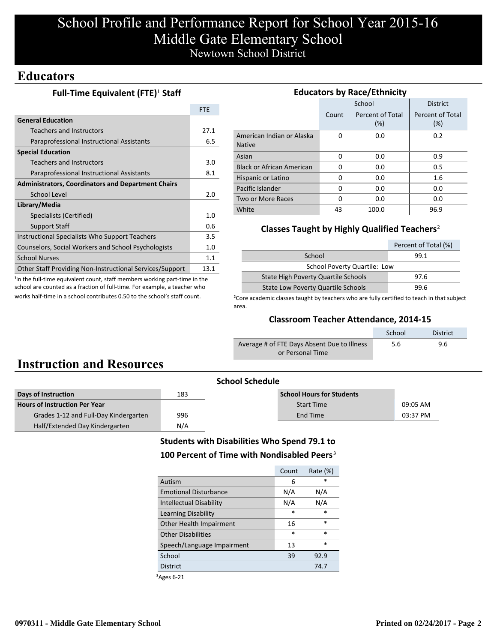# School Profile and Performance Report for School Year 2015-16 Middle Gate Elementary School Newtown School District

## **Educators**

### **Full-Time Equivalent (FTE)<sup>1</sup> Staff**

|                                                                 | <b>FTF</b>  |
|-----------------------------------------------------------------|-------------|
| <b>General Education</b>                                        |             |
| <b>Teachers and Instructors</b>                                 | 27.1        |
| Paraprofessional Instructional Assistants                       | 6.5         |
| <b>Special Education</b>                                        |             |
| Teachers and Instructors                                        | 3.0         |
| Paraprofessional Instructional Assistants                       | 8.1         |
| <b>Administrators, Coordinators and Department Chairs</b>       |             |
| School Level                                                    | 2.0         |
| Library/Media                                                   |             |
| Specialists (Certified)                                         | 1. $\Omega$ |
| <b>Support Staff</b>                                            | 0.6         |
| Instructional Specialists Who Support Teachers                  | 3.5         |
| Counselors, Social Workers and School Psychologists             | 1.0         |
| <b>School Nurses</b>                                            | 1.1         |
| <b>Other Staff Providing Non-Instructional Services/Support</b> | 13.1        |

<sup>1</sup>In the full-time equivalent count, staff members working part-time in the school are counted as a fraction of full-time. For example, a teacher who works half-time in a school contributes 0.50 to the school's staff count.

| <b>Educators by Race/Ethnicity</b>         |          |                         |                         |  |  |
|--------------------------------------------|----------|-------------------------|-------------------------|--|--|
|                                            |          | School                  | <b>District</b>         |  |  |
|                                            | Count    | Percent of Total<br>(%) | Percent of Total<br>(%) |  |  |
| American Indian or Alaska<br><b>Native</b> | $\Omega$ | 0.0                     | 0.2                     |  |  |
| Asian                                      | O        | 0.0                     | 0.9                     |  |  |
| <b>Black or African American</b>           | O        | 0.0                     | 0.5                     |  |  |
| Hispanic or Latino                         | 0        | 0.0                     | 1.6                     |  |  |
| Pacific Islander                           | 0        | 0.0                     | 0.0                     |  |  |
| Two or More Races                          | O        | 0.0                     | 0.0                     |  |  |
| White                                      | 43       | 100.0                   | 96.9                    |  |  |

### **Classes Taught by Highly Qualified Teachers**²

|                                             | Percent of Total (%) |  |  |
|---------------------------------------------|----------------------|--|--|
| School                                      | 99.1                 |  |  |
| <b>School Poverty Quartile: Low</b>         |                      |  |  |
| State High Poverty Quartile Schools<br>97.6 |                      |  |  |
| <b>State Low Poverty Quartile Schools</b>   | 99.6                 |  |  |

<sup>2</sup>Core academic classes taught by teachers who are fully certified to teach in that subject area.

### **Classroom Teacher Attendance, 2014-15**

|                                             | School | <b>District</b> |
|---------------------------------------------|--------|-----------------|
| Average # of FTE Days Absent Due to Illness | 5.6    | 9.6             |
| or Personal Time                            |        |                 |

# **Instruction and Resources**

| <b>School Schedule</b>                |     |                                  |          |  |
|---------------------------------------|-----|----------------------------------|----------|--|
| Days of Instruction                   | 183 | <b>School Hours for Students</b> |          |  |
| <b>Hours of Instruction Per Year</b>  |     | <b>Start Time</b>                | 09:05 AM |  |
| Grades 1-12 and Full-Day Kindergarten | 996 | End Time                         | 03:37 PM |  |
| Half/Extended Day Kindergarten        | N/A |                                  |          |  |

## **Students with Disabilities Who Spend 79.1 to** 100 Percent of Time with Nondisabled Peers<sup>3</sup>

|                                | Count  | Rate $(\%)$ |
|--------------------------------|--------|-------------|
| Autism                         | 6      | ж           |
| <b>Emotional Disturbance</b>   | N/A    | N/A         |
| <b>Intellectual Disability</b> | N/A    | N/A         |
| Learning Disability            | $\ast$ | $\ast$      |
| Other Health Impairment        | 16     | *           |
| Other Disabilities             | $\ast$ | $\ast$      |
| Speech/Language Impairment     | 13     | $\ast$      |
| School                         | 39     | 92.9        |
| <b>District</b>                |        | 74.7        |

³Ages 6-21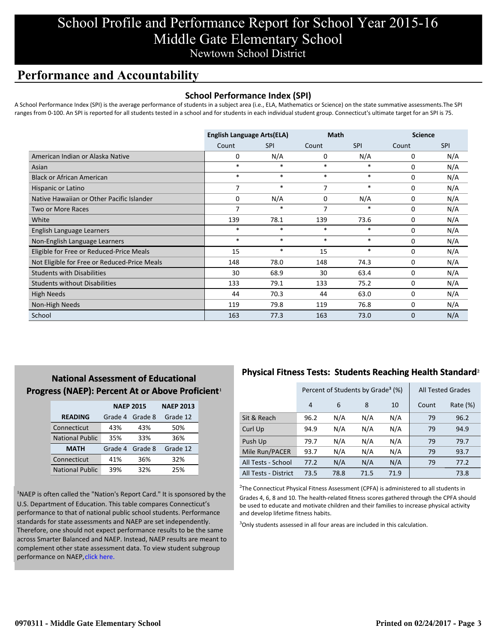# School Profile and Performance Report for School Year 2015-16 Middle Gate Elementary School Newtown School District

## **Performance and Accountability**

### **School Performance Index (SPI)**

A School Performance Index (SPI) is the average performance of students in a subject area (i.e., ELA, Mathematics or Science) on the state summative assessments.The SPI ranges from 0-100. An SPI is reported for all students tested in a school and for students in each individual student group. Connecticut's ultimate target for an SPI is 75.

|                                              | <b>English Language Arts(ELA)</b> |            | <b>Math</b> |            | <b>Science</b> |            |
|----------------------------------------------|-----------------------------------|------------|-------------|------------|----------------|------------|
|                                              | Count                             | <b>SPI</b> | Count       | <b>SPI</b> | Count          | <b>SPI</b> |
| American Indian or Alaska Native             | 0                                 | N/A        | 0           | N/A        | 0              | N/A        |
| Asian                                        | $\ast$                            | $\ast$     | $\ast$      | $\ast$     | 0              | N/A        |
| <b>Black or African American</b>             | $\ast$                            | $\ast$     | $\ast$      | $\ast$     | 0              | N/A        |
| Hispanic or Latino                           | 7                                 | $\ast$     | 7           | $\ast$     | 0              | N/A        |
| Native Hawaiian or Other Pacific Islander    | 0                                 | N/A        | $\mathbf 0$ | N/A        | $\mathbf 0$    | N/A        |
| Two or More Races                            | 7                                 | $\ast$     | 7           | *          | 0              | N/A        |
| White                                        | 139                               | 78.1       | 139         | 73.6       | 0              | N/A        |
| English Language Learners                    | $\ast$                            | $\ast$     | $\ast$      | $\ast$     | 0              | N/A        |
| Non-English Language Learners                | $\ast$                            | $\ast$     | $\ast$      | $\ast$     | 0              | N/A        |
| Eligible for Free or Reduced-Price Meals     | 15                                | $\ast$     | 15          | $\ast$     | 0              | N/A        |
| Not Eligible for Free or Reduced-Price Meals | 148                               | 78.0       | 148         | 74.3       | $\mathbf 0$    | N/A        |
| <b>Students with Disabilities</b>            | 30                                | 68.9       | 30          | 63.4       | $\mathbf 0$    | N/A        |
| <b>Students without Disabilities</b>         | 133                               | 79.1       | 133         | 75.2       | 0              | N/A        |
| <b>High Needs</b>                            | 44                                | 70.3       | 44          | 63.0       | 0              | N/A        |
| Non-High Needs                               | 119                               | 79.8       | 119         | 76.8       | 0              | N/A        |
| School                                       | 163                               | 77.3       | 163         | 73.0       | 0              | N/A        |

## **National Assessment of Educational Progress (NAEP): Percent At or Above Proficient1**

|                        | <b>NAEP 2015</b> |         | <b>NAEP 2013</b> |  |
|------------------------|------------------|---------|------------------|--|
| <b>READING</b>         | Grade 4          | Grade 8 | Grade 12         |  |
| Connecticut            | 43%              | 43%     | 50%              |  |
| <b>National Public</b> | 35%              | 33%     | 36%              |  |
| <b>MATH</b>            | Grade 4          | Grade 8 | Grade 12         |  |
| Connecticut            | 41%              | 36%     | 32%              |  |
| <b>National Public</b> | 39%              | 32%     | 25%              |  |

<sup>1</sup>NAEP is often called the "Nation's Report Card." It is sponsored by the U.S. Department of Education. This table compares Connecticut's performance to that of national public school students. Performance standards for state assessments and NAEP are set independently. Therefore, one should not expect performance results to be the same [across Smarter Balanced and NAEP. Instead, NAEP results are meant to](http://www.sde.ct.gov/sde/lib/sde/pdf/evalresearch/ct_naep_2015_results_by_performance_level.pdf) complement other state assessment data. To view student subgroup performance on NAEP, click here.

## **Physical Fitness Tests: Students Reaching Health Standard**²

|                      | Percent of Students by Grade <sup>3</sup> (%) |      |      |      | <b>All Tested Grades</b> |          |
|----------------------|-----------------------------------------------|------|------|------|--------------------------|----------|
|                      | $\overline{4}$                                | 6    | 8    | 10   | Count                    | Rate (%) |
| Sit & Reach          | 96.2                                          | N/A  | N/A  | N/A  | 79                       | 96.2     |
| Curl Up              | 94.9                                          | N/A  | N/A  | N/A  | 79                       | 94.9     |
| Push Up              | 79.7                                          | N/A  | N/A  | N/A  | 79                       | 79.7     |
| Mile Run/PACER       | 93.7                                          | N/A  | N/A  | N/A  | 79                       | 93.7     |
| All Tests - School   | 77.2                                          | N/A  | N/A  | N/A  | 79                       | 77.2     |
| All Tests - District | 73.5                                          | 78.8 | 71.5 | 71.9 |                          | 73.8     |

 $2$ The Connecticut Physical Fitness Assessment (CPFA) is administered to all students in Grades 4, 6, 8 and 10. The health-related fitness scores gathered through the CPFA should be used to educate and motivate children and their families to increase physical activity and develop lifetime fitness habits.

<sup>3</sup>Only students assessed in all four areas are included in this calculation.